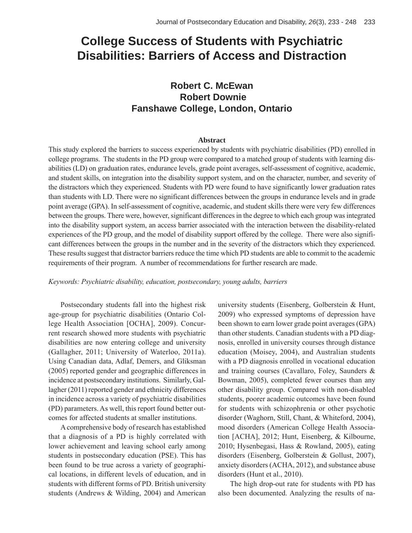# **College Success of Students with Psychiatric Disabilities: Barriers of Access and Distraction**

# **Robert C. McEwan Robert Downie Fanshawe College, London, Ontario**

#### **Abstract**

This study explored the barriers to success experienced by students with psychiatric disabilities (PD) enrolled in college programs. The students in the PD group were compared to a matched group of students with learning disabilities (LD) on graduation rates, endurance levels, grade point averages, self-assessment of cognitive, academic, and student skills, on integration into the disability support system, and on the character, number, and severity of the distractors which they experienced. Students with PD were found to have significantly lower graduation rates than students with LD. There were no significant differences between the groups in endurance levels and in grade point average (GPA). In self-assessment of cognitive, academic, and student skills there were very few differences between the groups. There were, however, significant differences in the degree to which each group was integrated into the disability support system, an access barrier associated with the interaction between the disability-related experiences of the PD group, and the model of disability support offered by the college. There were also significant differences between the groups in the number and in the severity of the distractors which they experienced. These results suggest that distractor barriers reduce the time which PD students are able to commit to the academic requirements of their program. A number of recommendations for further research are made.

#### *Keywords: Psychiatric disability, education, postsecondary, young adults, barriers*

Postsecondary students fall into the highest risk age-group for psychiatric disabilities (Ontario College Health Association [OCHA], 2009). Concurrent research showed more students with psychiatric disabilities are now entering college and university (Gallagher, 2011; University of Waterloo, 2011a). Using Canadian data, Adlaf, Demers, and Gliksman (2005) reported gender and geographic differences in incidence at postsecondary institutions. Similarly, Gallagher (2011) reported gender and ethnicity differences in incidence across a variety of psychiatric disabilities (PD) parameters. As well, this report found better outcomes for affected students at smaller institutions.

A comprehensive body of research has established that a diagnosis of a PD is highly correlated with lower achievement and leaving school early among students in postsecondary education (PSE). This has been found to be true across a variety of geographical locations, in different levels of education, and in students with different forms of PD. British university students (Andrews & Wilding, 2004) and American

university students (Eisenberg, Golberstein & Hunt, 2009) who expressed symptoms of depression have been shown to earn lower grade point averages (GPA) than other students. Canadian students with a PD diagnosis, enrolled in university courses through distance education (Moisey, 2004), and Australian students with a PD diagnosis enrolled in vocational education and training courses (Cavallaro, Foley, Saunders & Bowman, 2005), completed fewer courses than any other disability group. Compared with non-disabled students, poorer academic outcomes have been found for students with schizophrenia or other psychotic disorder (Waghorn, Still, Chant, & Whiteford, 2004), mood disorders (American College Health Association [ACHA], 2012; Hunt, Eisenberg, & Kilbourne, 2010; Hysenbegasi, Hass & Rowland, 2005), eating disorders (Eisenberg, Golberstein & Gollust, 2007), anxiety disorders (ACHA, 2012), and substance abuse disorders (Hunt et al., 2010).

The high drop-out rate for students with PD has also been documented. Analyzing the results of na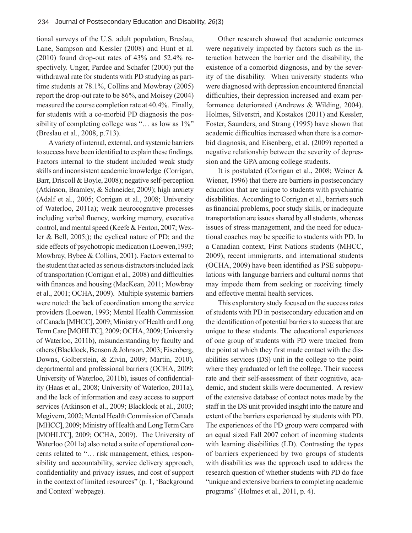tional surveys of the U.S. adult population, Breslau, Lane, Sampson and Kessler (2008) and Hunt et al. (2010) found drop-out rates of 43% and 52.4% respectively. Unger, Pardee and Schafer (2000) put the withdrawal rate for students with PD studying as parttime students at 78.1%, Collins and Mowbray (2005) report the drop-out rate to be 86%, and Moisey (2004) measured the course completion rate at 40.4%. Finally, for students with a co-morbid PD diagnosis the possibility of completing college was "… as low as 1%" (Breslau et al., 2008, p.713).

A variety of internal, external, and systemic barriers to success have been identified to explain these findings. Factors internal to the student included weak study skills and inconsistent academic knowledge (Corrigan, Barr, Driscoll & Boyle, 2008); negative self-perception (Atkinson, Bramley, & Schneider, 2009); high anxiety (Adalf et al., 2005; Corrigan et al., 2008; University of Waterloo, 2011a); weak neurocognitive processes including verbal fluency, working memory, executive control, and mental speed (Keefe & Fenton, 2007; Wexler & Bell, 2005;); the cyclical nature of PD; and the side effects of psychotropic medication (Loewen,1993; Mowbray, Bybee & Collins, 2001). Factors external to the student that acted as serious distractors included lack of transportation (Corrigan et al., 2008) and difficulties with finances and housing (MacKean, 2011; Mowbray et al., 2001; OCHA, 2009). Multiple systemic barriers were noted: the lack of coordination among the service providers (Loewen, 1993; Mental Health Commission of Canada [MHCC], 2009; Ministry of Health and Long Term Care [MOHLTC], 2009; OCHA, 2009; University of Waterloo, 2011b), misunderstanding by faculty and others (Blacklock, Benson & Johnson, 2003; Eisenberg, Downs, Golberstein, & Zivin, 2009; Martin, 2010), departmental and professional barriers (OCHA, 2009; University of Waterloo, 2011b), issues of confidentiality (Haas et al., 2008; University of Waterloo, 2011a), and the lack of information and easy access to support services (Atkinson et al., 2009; Blacklock et al., 2003; Megivern, 2002; Mental Health Commission of Canada [MHCC], 2009; Ministry of Health and Long Term Care [MOHLTC], 2009; OCHA, 2009). The University of Waterloo (2011a) also noted a suite of operational concerns related to "… risk management, ethics, responsibility and accountability, service delivery approach, confidentiality and privacy issues, and cost of support in the context of limited resources" (p. 1, 'Background and Context' webpage).

Other research showed that academic outcomes were negatively impacted by factors such as the interaction between the barrier and the disability, the existence of a comorbid diagnosis, and by the severity of the disability. When university students who were diagnosed with depression encountered financial difficulties, their depression increased and exam performance deteriorated (Andrews & Wilding, 2004). Holmes, Silverstri, and Kostakos (2011) and Kessler, Foster, Saunders, and Strang (1995) have shown that academic difficulties increased when there is a comorbid diagnosis, and Eisenberg, et al. (2009) reported a negative relationship between the severity of depression and the GPA among college students.

It is postulated (Corrigan et al., 2008; Weiner & Wiener, 1996) that there are barriers in postsecondary education that are unique to students with psychiatric disabilities. According to Corrigan et al., barriers such as financial problems, poor study skills, or inadequate transportation are issues shared by all students, whereas issues of stress management, and the need for educational coaches may be specific to students with PD. In a Canadian context, First Nations students (MHCC, 2009), recent immigrants, and international students  $(OCHA, 2009)$  have been identified as PSE subpopulations with language barriers and cultural norms that may impede them from seeking or receiving timely and effective mental health services.

This exploratory study focused on the success rates of students with PD in postsecondary education and on the identification of potential barriers to success that are unique to these students. The educational experiences of one group of students with PD were tracked from the point at which they first made contact with the disabilities services (DS) unit in the college to the point where they graduated or left the college. Their success rate and their self-assessment of their cognitive, academic, and student skills were documented. A review of the extensive database of contact notes made by the staff in the DS unit provided insight into the nature and extent of the barriers experienced by students with PD. The experiences of the PD group were compared with an equal sized Fall 2007 cohort of incoming students with learning disabilities (LD). Contrasting the types of barriers experienced by two groups of students with disabilities was the approach used to address the research question of whether students with PD do face "unique and extensive barriers to completing academic programs" (Holmes et al., 2011, p. 4).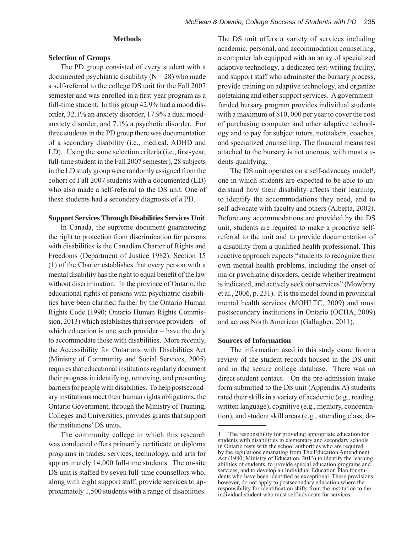#### **Methods**

#### **Selection of Groups**

The PD group consisted of every student with a documented psychiatric disability  $(N = 28)$  who made a self-referral to the college DS unit for the Fall 2007 semester and was enrolled in a first-year program as a full-time student. In this group 42.9% had a mood disorder, 32.1% an anxiety disorder, 17.9% a dual moodanxiety disorder, and 7.1% a psychotic disorder. For three students in the PD group there was documentation of a secondary disability (i.e., medical, ADHD and LD). Using the same selection criteria (i.e., first-year, full-time student in the Fall 2007 semester), 28 subjects in the LD study group were randomly assigned from the cohort of Fall 2007 students with a documented (LD) who also made a self-referral to the DS unit. One of these students had a secondary diagnosis of a PD.

#### **Support Services Through Disabilities Services Unit**

In Canada, the supreme document guaranteeing the right to protection from discrimination for persons with disabilities is the Canadian Charter of Rights and Freedoms (Department of Justice 1982). Section 15 (1) of the Charter establishes that every person with a mental disability has the right to equal benefit of the law without discrimination. In the province of Ontario, the educational rights of persons with psychiatric disabilities have been clarified further by the Ontario Human Rights Code (1990; Ontario Human Rights Commission, 2013) which establishes that service providers – of which education is one such provider – have the duty to accommodate those with disabilities. More recently, the Accessibility for Ontarians with Disabilities Act (Ministry of Community and Social Services, 2005) requires that educational institutions regularly document their progress in identifying, removing, and preventing barriers for people with disabilities. To help postsecondary institutions meet their human rights obligations, the Ontario Government, through the Ministry of Training, Colleges and Universities, provides grants that support the institutions' DS units.

The community college in which this research was conducted offers primarily certificate or diploma programs in trades, services, technology, and arts for approximately 14,000 full-time students. The on-site DS unit is staffed by seven full-time counsellors who, along with eight support staff, provide services to approximately 1,500 students with a range of disabilities.

The DS unit offers a variety of services including academic, personal, and accommodation counselling, a computer lab equipped with an array of specialized adaptive technology, a dedicated test-writing facility, and support staff who administer the bursary process, provide training on adaptive technology, and organize notetaking and other support services. A governmentfunded bursary program provides individual students with a maximum of \$10, 000 per year to cover the cost of purchasing computer and other adaptive technology and to pay for subject tutors, notetakers, coaches, and specialized counselling. The financial means test attached to the bursary is not onerous, with most students qualifying.

The DS unit operates on a self-advocacy model<sup>1</sup>, one in which students are expected to be able to understand how their disability affects their learning, to identify the accommodations they need, and to self-advocate with faculty and others (Alberta, 2002). Before any accommodations are provided by the DS unit, students are required to make a proactive selfreferral to the unit and to provide documentation of a disability from a qualified health professional. This reactive approach expects "students to recognize their own mental health problems, including the onset of major psychiatric disorders, decide whether treatment is indicated, and actively seek out services" (Mowbray et al., 2006, p. 231). It is the model found in provincial mental health services (MOHLTC, 2009) and most postsecondary institutions in Ontario (OCHA, 2009) and across North American (Gallagher, 2011).

#### **Sources of Information**

The information used in this study came from a review of the student records housed in the DS unit and in the secure college database. There was no direct student contact. On the pre-admission intake form submitted to the DS unit (Appendix A) students rated their skills in a variety of academic (e.g., reading, written language), cognitive (e.g., memory, concentration), and student skill areas (e.g., attending class, do-

<sup>1</sup> The responsibility for providing appropriate education for students with disabilities in elementary and secondary schools in Ontario rests with the school authorities who are required by the regulations emanating from The Education Amendment Act (1980; Ministry of Education, 2013) to identify the learning abilities of students, to provide special education programs and services, and to develop an Individual Education Plan for students who have been identified as exceptional. These provisions, however, do not apply to postsecondary education where the responsibility for identification shifts from the institution to the individual student who must self-advocate for services.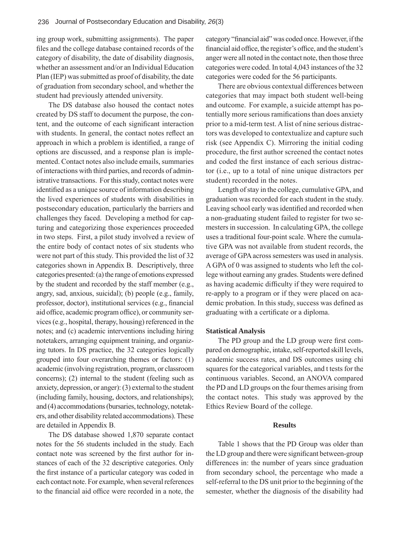ing group work, submitting assignments). The paper files and the college database contained records of the category of disability, the date of disability diagnosis, whether an assessment and/or an Individual Education Plan (IEP) was submitted as proof of disability, the date of graduation from secondary school, and whether the student had previously attended university.

The DS database also housed the contact notes created by DS staff to document the purpose, the content, and the outcome of each significant interaction with students. In general, the contact notes reflect an approach in which a problem is identified, a range of options are discussed, and a response plan is implemented. Contact notes also include emails, summaries of interactions with third parties, and records of administrative transactions. For this study, contact notes were identified as a unique source of information describing the lived experiences of students with disabilities in postsecondary education, particularly the barriers and challenges they faced. Developing a method for capturing and categorizing those experiences proceeded in two steps. First, a pilot study involved a review of the entire body of contact notes of six students who were not part of this study. This provided the list of 32 categories shown in Appendix B. Descriptively, three categories presented: (a) the range of emotions expressed by the student and recorded by the staff member (e.g., angry, sad, anxious, suicidal); (b) people (e.g., family, professor, doctor), institutional services (e.g., financial aid office, academic program office), or community services (e.g., hospital, therapy, housing) referenced in the notes; and (c) academic interventions including hiring notetakers, arranging equipment training, and organizing tutors. In DS practice, the 32 categories logically grouped into four overarching themes or factors: (1) academic (involving registration, program, or classroom concerns); (2) internal to the student (feeling such as anxiety, depression, or anger): (3) external to the student (including family, housing, doctors, and relationships); and (4) accommodations (bursaries, technology, notetakers, and other disability related accommodations). These are detailed in Appendix B.

The DS database showed 1,870 separate contact notes for the 56 students included in the study. Each contact note was screened by the first author for instances of each of the 32 descriptive categories. Only the first instance of a particular category was coded in each contact note. For example, when several references to the financial aid office were recorded in a note, the category "financial aid" was coded once. However, if the financial aid office, the register's office, and the student's anger were all noted in the contact note, then those three categories were coded. In total 4,043 instances of the 32 categories were coded for the 56 participants.

There are obvious contextual differences between categories that may impact both student well-being and outcome. For example, a suicide attempt has potentially more serious ramifications than does anxiety prior to a mid-term test. A list of nine serious distractors was developed to contextualize and capture such risk (see Appendix C). Mirroring the initial coding procedure, the first author screened the contact notes and coded the first instance of each serious distractor (i.e., up to a total of nine unique distractors per student) recorded in the notes.

Length of stay in the college, cumulative GPA, and graduation was recorded for each student in the study. Leaving school early was identified and recorded when a non-graduating student failed to register for two semesters in succession. In calculating GPA, the college uses a traditional four-point scale. Where the cumulative GPA was not available from student records, the average of GPA across semesters was used in analysis. A GPA of 0 was assigned to students who left the college without earning any grades. Students were defined as having academic difficulty if they were required to re-apply to a program or if they were placed on academic probation. In this study, success was defined as graduating with a certificate or a diploma.

#### **Statistical Analysis**

The PD group and the LD group were first compared on demographic, intake, self-reported skill levels, academic success rates, and DS outcomes using chi squares for the categorical variables, and t tests for the continuous variables. Second, an ANOVA compared the PD and LD groups on the four themes arising from the contact notes. This study was approved by the Ethics Review Board of the college.

#### **Results**

Table 1 shows that the PD Group was older than the LD group and there were significant between-group differences in: the number of years since graduation from secondary school, the percentage who made a self-referral to the DS unit prior to the beginning of the semester, whether the diagnosis of the disability had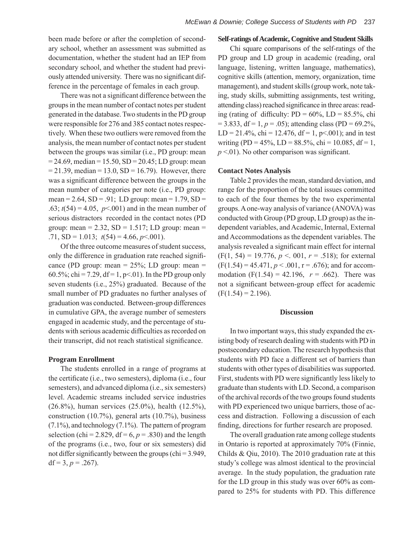been made before or after the completion of secondary school, whether an assessment was submitted as documentation, whether the student had an IEP from secondary school, and whether the student had previously attended university. There was no significant difference in the percentage of females in each group.

There was not a significant difference between the groups in the mean number of contact notes per student generated in the database. Two students in the PD group were responsible for 276 and 385 contact notes respectively. When these two outliers were removed from the analysis, the mean number of contact notes per student between the groups was similar (i.e., PD group: mean  $= 24.69$ , median  $= 15.50$ , SD  $= 20.45$ ; LD group: mean  $= 21.39$ , median  $= 13.0$ , SD  $= 16.79$ ). However, there was a significant difference between the groups in the mean number of categories per note (i.e., PD group: mean =  $2.64$ , SD = .91; LD group: mean =  $1.79$ , SD = .63;  $t(54) = 4.05$ ,  $p \le 0.001$ ) and in the mean number of serious distractors recorded in the contact notes (PD group: mean =  $2.32$ , SD =  $1.517$ ; LD group: mean = .71,  $SD = 1.013$ ;  $t(54) = 4.66$ ,  $p < .001$ ).

Of the three outcome measures of student success, only the difference in graduation rate reached significance (PD group: mean  $= 25\%$ ; LD group: mean  $=$ 60.5%; chi = 7.29, df = 1, p<.01). In the PD group only seven students (i.e., 25%) graduated. Because of the small number of PD graduates no further analyses of graduation was conducted. Between-group differences in cumulative GPA, the average number of semesters engaged in academic study, and the percentage of students with serious academic difficulties as recorded on their transcript, did not reach statistical significance.

#### **Program Enrollment**

The students enrolled in a range of programs at the certificate (i.e., two semesters), diploma (i.e., four semesters), and advanced diploma (i.e., six semesters) level. Academic streams included service industries (26.8%), human services (25.0%), health (12.5%), construction (10.7%), general arts (10.7%), business (7.1%), and technology (7.1%). The pattern of program selection (chi = 2.829,  $df = 6$ ,  $p = .830$ ) and the length of the programs (i.e., two, four or six semesters) did not differ significantly between the groups (chi =  $3.949$ , df = 3,  $p = .267$ ).

#### **Self-ratings of Academic, Cognitive and Student Skills**

Chi square comparisons of the self-ratings of the PD group and LD group in academic (reading, oral language, listening, written language, mathematics), cognitive skills (attention, memory, organization, time management), and student skills (group work, note taking, study skills, submitting assignments, test writing, attending class) reached significance in three areas: reading (rating of difficulty:  $PD = 60\%$ ,  $LD = 85.5\%$ , chi  $= 3.833$ , df  $= 1, p = .05$ ); attending class (PD  $= 69.2\%$ ,  $LD = 21.4\%$ , chi = 12.476, df = 1, p<.001); and in test writing (PD = 45%, LD = 88.5%, chi = 10.085, df = 1,  $p \leq 01$ ). No other comparison was significant.

#### **Contact Notes Analysis**

Table 2 provides the mean, standard deviation, and range for the proportion of the total issues committed to each of the four themes by the two experimental groups. A one-way analysis of variance (ANOVA) was conducted with Group (PD group, LD group) as the independent variables, and Academic, Internal, External and Accommodations as the dependent variables. The analysis revealed a significant main effect for internal  $(F(1, 54) = 19.776, p < .001, r = .518)$ ; for external  $(F(1.54) = 45.471, p < .001, r = .676)$ ; and for accommodation  $(F(1.54) = 42.196, r = .662)$ . There was not a significant between-group effect for academic  $(F(1.54) = 2.196)$ .

#### **Discussion**

In two important ways, this study expanded the existing body of research dealing with students with PD in postsecondary education. The research hypothesis that students with PD face a different set of barriers than students with other types of disabilities was supported. First, students with PD were significantly less likely to graduate than students with LD. Second, a comparison of the archival records of the two groups found students with PD experienced two unique barriers, those of access and distraction. Following a discussion of each finding, directions for further research are proposed.

The overall graduation rate among college students in Ontario is reported at approximately 70% (Finnie, Childs & Qiu, 2010). The 2010 graduation rate at this study's college was almost identical to the provincial average. In the study population, the graduation rate for the LD group in this study was over 60% as compared to 25% for students with PD. This difference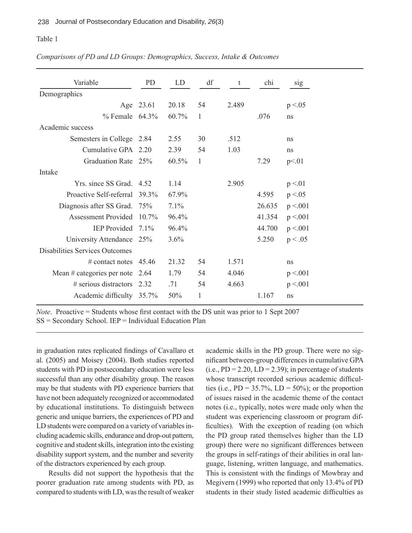### Table 1

#### *Comparisons of PD and LD Groups: Demographics, Success, Intake & Outcomes*

| Variable                              | PD        | LD       | df | t     | chi    | sig      |
|---------------------------------------|-----------|----------|----|-------|--------|----------|
| Demographics                          |           |          |    |       |        |          |
|                                       | Age 23.61 | 20.18    | 54 | 2.489 |        | p < 0.05 |
| $\%$ Female 64.3%                     |           | 60.7%    | 1  |       | .076   | ns       |
| Academic success                      |           |          |    |       |        |          |
| Semesters in College                  | 2.84      | 2.55     | 30 | .512  |        | ns       |
| Cumulative GPA 2.20                   |           | 2.39     | 54 | 1.03  |        | ns       |
| Graduation Rate 25%                   |           | $60.5\%$ | 1  |       | 7.29   | p<01     |
| Intake                                |           |          |    |       |        |          |
| Yrs. since SS Grad. 4.52              |           | 1 14     |    | 2.905 |        | p < 01   |
| Proactive Self-referral               | 39.3%     | 67.9%    |    |       | 4.595  | p < 0.05 |
| Diagnosis after SS Grad.              | 75%       | 7.1%     |    |       | 26.635 | p < 001  |
| Assessment Provided 10.7%             |           | 96.4%    |    |       | 41.354 | p < 001  |
| <b>IEP</b> Provided                   | $71\%$    | $96.4\%$ |    |       | 44.700 | p < 001  |
| University Attendance 25%             |           | $3.6\%$  |    |       | 5.250  | p < .05  |
| <b>Disabilities Services Outcomes</b> |           |          |    |       |        |          |
| # contact notes $45.46$               |           | 21.32    | 54 | 1.571 |        | ns       |
| Mean $#$ categories per note          | 2.64      | 1.79     | 54 | 4.046 |        | p < 001  |
| $#$ serious distractors               | 2 3 2     | 71       | 54 | 4.663 |        | p < 001  |
| Academic difficulty 35.7%             |           | 50%      | 1  |       | 1.167  | ns       |
|                                       |           |          |    |       |        |          |

*Note*. Proactive = Students whose first contact with the DS unit was prior to 1 Sept 2007 SS = Secondary School. IEP = Individual Education Plan

in graduation rates replicated findings of Cavallaro et al. (2005) and Moisey (2004). Both studies reported students with PD in postsecondary education were less successful than any other disability group. The reason may be that students with PD experience barriers that have not been adequately recognized or accommodated by educational institutions. To distinguish between generic and unique barriers, the experiences of PD and LD students were compared on a variety of variables including academic skills, endurance and drop-out pattern, cognitive and student skills, integration into the existing disability support system, and the number and severity of the distractors experienced by each group.

Results did not support the hypothesis that the poorer graduation rate among students with PD, as compared to students with LD, was the result of weaker academic skills in the PD group. There were no significant between-group differences in cumulative GPA  $(i.e., PD = 2.20, LD = 2.39)$ ; in percentage of students whose transcript recorded serious academic difficulties (i.e.,  $PD = 35.7\%$ ,  $LD = 50\%$ ); or the proportion of issues raised in the academic theme of the contact notes (i.e., typically, notes were made only when the student was experiencing classroom or program difficulties). With the exception of reading (on which the PD group rated themselves higher than the LD group) there were no significant differences between the groups in self-ratings of their abilities in oral language, listening, written language, and mathematics. This is consistent with the findings of Mowbray and Megivern (1999) who reported that only 13.4% of PD students in their study listed academic difficulties as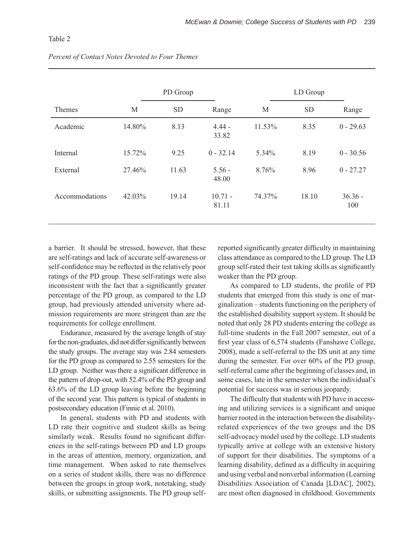#### Table 2

|                | PD Group |           |                    | LD Group |           |                  |  |
|----------------|----------|-----------|--------------------|----------|-----------|------------------|--|
| Themes         | M        | <b>SD</b> | Range              | M        | <b>SD</b> | Range            |  |
| Academic       | 14.80%   | 8.13      | $4.44 -$<br>33.82  | 11.53%   | 8.35      | $0 - 29.63$      |  |
| Internal       | 15.72%   | 9.25      | $0 - 32.14$        | 5.34%    | 8.19      | $0 - 30.56$      |  |
| External       | 27.46%   | 11.63     | $5.56 -$<br>48.00  | 8.76%    | 8.96      | $0 - 27.27$      |  |
| Accommodations | 42.03%   | 19.14     | $10.71 -$<br>81.11 | 74.37%   | 18.10     | $36.36 -$<br>100 |  |

#### *Percent of Contact Notes Devoted to Four Themes*

a barrier. It should be stressed, however, that these are self-ratings and lack of accurate self-awareness or self-confidence may be reflected in the relatively poor ratings of the PD group. These self-ratings were also inconsistent with the fact that a significantly greater percentage of the PD group, as compared to the LD group, had previously attended university where admission requirements are more stringent than are the requirements for college enrollment.

Endurance, measured by the average length of stay for the non-graduates, did not differ significantly between the study groups. The average stay was 2.84 semesters for the PD group as compared to 2.55 semesters for the LD group. Neither was there a significant difference in the pattern of drop-out, with 52.4% of the PD group and 63.6% of the LD group leaving before the beginning of the second year. This pattern is typical of students in postsecondary education (Finnie et al. 2010).

In general, students with PD and students with LD rate their cognitive and student skills as being similarly weak. Results found no significant differences in the self-ratings between PD and LD groups in the areas of attention, memory, organization, and time management. When asked to rate themselves on a series of student skills, there was no difference between the groups in group work, notetaking, study skills, or submitting assignments. The PD group selfreported significantly greater difficulty in maintaining class attendance as compared to the LD group. The LD group self-rated their test taking skills as significantly weaker than the PD group.

As compared to LD students, the profile of PD students that emerged from this study is one of marginalization – students functioning on the periphery of the established disability support system. It should be noted that only 28 PD students entering the college as full-time students in the Fall 2007 semester, out of a first year class of  $6,574$  students (Fanshawe College, 2008), made a self-referral to the DS unit at any time during the semester. For over 60% of the PD group, self-referral came after the beginning of classes and, in some cases, late in the semester when the individual's potential for success was in serious jeopardy.

The difficulty that students with PD have in accessing and utilizing services is a significant and unique barrier rooted in the interaction between the disabilityrelated experiences of the two groups and the DS self-advocacy model used by the college. LD students typically arrive at college with an extensive history of support for their disabilities. The symptoms of a learning disability, defined as a difficulty in acquiring and using verbal and nonverbal information (Learning Disabilities Association of Canada [LDAC], 2002), are most often diagnosed in childhood. Governments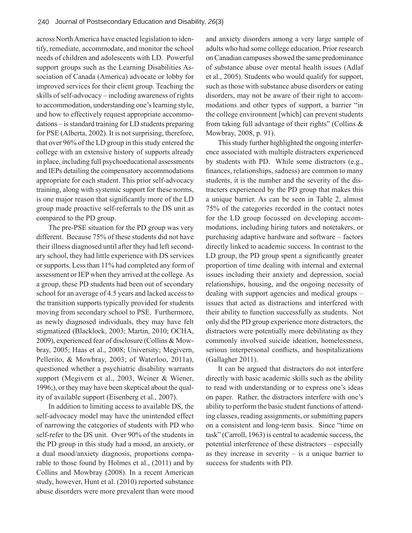across North America have enacted legislation to identify, remediate, accommodate, and monitor the school needs of children and adolescents with LD. Powerful support groups such as the Learning Disabilities Association of Canada (America) advocate or lobby for improved services for their client group. Teaching the skills of self-advocacy – including awareness of rights to accommodation, understanding one's learning style, and how to effectively request appropriate accommodations – is standard training for LD students preparing for PSE (Alberta, 2002). It is not surprising, therefore, that over 96% of the LD group in this study entered the college with an extensive history of supports already in place, including full psychoeducational assessments and IEPs detailing the compensatory accommodations appropriate for each student. This prior self-advocacy training, along with systemic support for these norms, is one major reason that significantly more of the LD group made proactive self-referrals to the DS unit as compared to the PD group.

The pre-PSE situation for the PD group was very different. Because 75% of these students did not have their illness diagnosed until after they had left secondary school, they had little experience with DS services or supports. Less than 11% had completed any form of assessment or IEP when they arrived at the college. As a group, these PD students had been out of secondary school for an average of 4.5 years and lacked access to the transition supports typically provided for students moving from secondary school to PSE. Furthermore, as newly diagnosed individuals, they may have felt stigmatized (Blacklock, 2003; Martin, 2010; OCHA, 2009), experienced fear of disclosure (Collins & Mowbray, 2005; Haas et al., 2008; University; Megivern, Pellerito, & Mowbray, 2003; of Waterloo, 2011a), questioned whether a psychiatric disability warrants support (Megivern et al., 2003, Weiner & Wiener, 1996;), or they may have been skeptical about the quality of available support (Eisenberg et al., 2007).

In addition to limiting access to available DS, the self-advocacy model may have the unintended effect of narrowing the categories of students with PD who self-refer to the DS unit. Over 90% of the students in the PD group in this study had a mood, an anxiety, or a dual mood/anxiety diagnosis, proportions comparable to those found by Holmes et al., (2011) and by Collins and Mowbray (2008). In a recent American study, however, Hunt et al. (2010) reported substance abuse disorders were more prevalent than were mood

and anxiety disorders among a very large sample of adults who had some college education. Prior research on Canadian campuses showed the same predominance of substance abuse over mental health issues (Adlaf et al., 2005). Students who would qualify for support, such as those with substance abuse disorders or eating disorders, may not be aware of their right to accommodations and other types of support, a barrier "in the college environment [which] can prevent students from taking full advantage of their rights" (Collins & Mowbray, 2008, p. 91).

This study further highlighted the ongoing interference associated with multiple distracters experienced by students with PD. While some distractors (e.g., finances, relationships, sadness) are common to many students, it is the number and the severity of the distracters experienced by the PD group that makes this a unique barrier. As can be seen in Table 2, almost 75% of the categories recorded in the contact notes for the LD group focussed on developing accommodations, including hiring tutors and notetakers, or purchasing adaptive hardware and software – factors directly linked to academic success. In contrast to the LD group, the PD group spent a significantly greater proportion of time dealing with internal and external issues including their anxiety and depression, social relationships, housing, and the ongoing necessity of dealing with support agencies and medical groups – issues that acted as distractions and interfered with their ability to function successfully as students. Not only did the PD group experience more distractors, the distractors were potentially more debilitating as they commonly involved suicide ideation, homelessness, serious interpersonal conflicts, and hospitalizations (Gallagher 2011).

It can be argued that distractors do not interfere directly with basic academic skills such as the ability to read with understanding or to express one's ideas on paper. Rather, the distractors interfere with one's ability to perform the basic student functions of attending classes, reading assignments, or submitting papers on a consistent and long-term basis. Since "time on task" (Carroll, 1963) is central to academic success, the potential interference of these distractors – especially as they increase in severity  $-$  is a unique barrier to success for students with PD.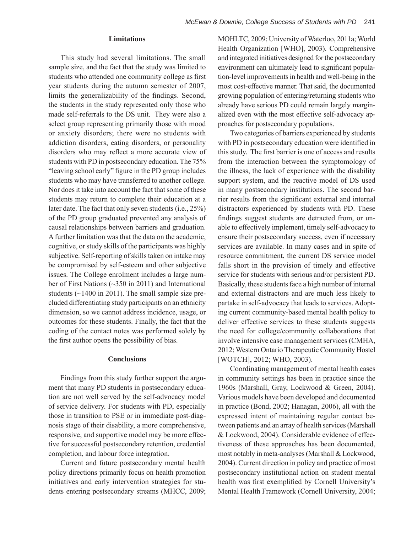#### **Limitations**

This study had several limitations. The small sample size, and the fact that the study was limited to students who attended one community college as first year students during the autumn semester of 2007, limits the generalizability of the findings. Second, the students in the study represented only those who made self-referrals to the DS unit. They were also a select group representing primarily those with mood or anxiety disorders; there were no students with addiction disorders, eating disorders, or personality disorders who may reflect a more accurate view of students with PD in postsecondary education. The 75% "leaving school early" figure in the PD group includes students who may have transferred to another college. Nor does it take into account the fact that some of these students may return to complete their education at a later date. The fact that only seven students (i.e., 25%) of the PD group graduated prevented any analysis of causal relationships between barriers and graduation. A further limitation was that the data on the academic, cognitive, or study skills of the participants was highly subjective. Self-reporting of skills taken on intake may be compromised by self-esteem and other subjective issues. The College enrolment includes a large number of First Nations (~350 in 2011) and International students  $(\sim 1400$  in 2011). The small sample size precluded differentiating study participants on an ethnicity dimension, so we cannot address incidence, usage, or outcomes for these students. Finally, the fact that the coding of the contact notes was performed solely by the first author opens the possibility of bias.

#### **Conclusions**

Findings from this study further support the argument that many PD students in postsecondary education are not well served by the self-advocacy model of service delivery. For students with PD, especially those in transition to PSE or in immediate post-diagnosis stage of their disability, a more comprehensive, responsive, and supportive model may be more effective for successful postsecondary retention, credential completion, and labour force integration.

Current and future postsecondary mental health policy directions primarily focus on health promotion initiatives and early intervention strategies for students entering postsecondary streams (MHCC, 2009; MOHLTC, 2009; University of Waterloo, 2011a; World Health Organization [WHO], 2003). Comprehensive and integrated initiatives designed for the postsecondary environment can ultimately lead to significant population-level improvements in health and well-being in the most cost-effective manner. That said, the documented growing population of entering/returning students who already have serious PD could remain largely marginalized even with the most effective self-advocacy approaches for postsecondary populations.

Two categories of barriers experienced by students with PD in postsecondary education were identified in this study. The first barrier is one of access and results from the interaction between the symptomology of the illness, the lack of experience with the disability support system, and the reactive model of DS used in many postsecondary institutions. The second barrier results from the significant external and internal distractors experienced by students with PD. These findings suggest students are detracted from, or unable to effectively implement, timely self-advocacy to ensure their postsecondary success, even if necessary services are available. In many cases and in spite of resource commitment, the current DS service model falls short in the provision of timely and effective service for students with serious and/or persistent PD. Basically, these students face a high number of internal and external distractors and are much less likely to partake in self-advocacy that leads to services. Adopting current community-based mental health policy to deliver effective services to these students suggests the need for college/community collaborations that involve intensive case management services (CMHA, 2012; Western Ontario Therapeutic Community Hostel [WOTCH], 2012; WHO, 2003).

Coordinating management of mental health cases in community settings has been in practice since the 1960s (Marshall, Gray, Lockwood & Green, 2004). Various models have been developed and documented in practice (Bond, 2002; Hanagan, 2006), all with the expressed intent of maintaining regular contact between patients and an array of health services (Marshall & Lockwood, 2004). Considerable evidence of effectiveness of these approaches has been documented, most notably in meta-analyses (Marshall & Lockwood, 2004). Current direction in policy and practice of most postsecondary institutional action on student mental health was first exemplified by Cornell University's Mental Health Framework (Cornell University, 2004;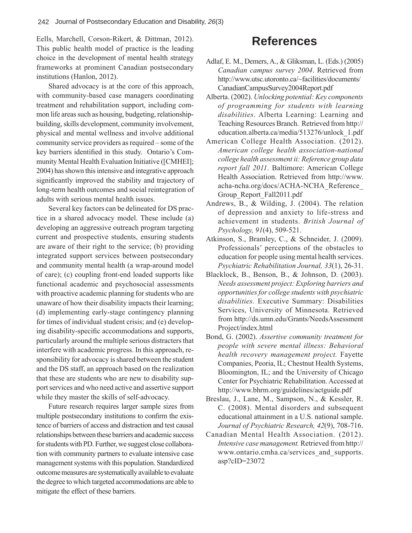Eells, Marchell, Corson-Rikert, & Dittman, 2012). This public health model of practice is the leading choice in the development of mental health strategy frameworks at prominent Canadian postsecondary institutions (Hanlon, 2012).

Shared advocacy is at the core of this approach, with community-based case managers coordinating treatment and rehabilitation support, including common life areas such as housing, budgeting, relationshipbuilding, skills development, community involvement, physical and mental wellness and involve additional community service providers as required – some of the key barriers identified in this study. Ontario's Community Mental Health Evaluation Initiative ([CMHEI]; 2004) has shown this intensive and integrative approach significantly improved the stability and trajectory of long-term health outcomes and social reintegration of adults with serious mental health issues.

Several key factors can be delineated for DS practice in a shared advocacy model. These include (a) developing an aggressive outreach program targeting current and prospective students, ensuring students are aware of their right to the service; (b) providing integrated support services between postsecondary and community mental health (a wrap-around model of care); (c) coupling front-end loaded supports like functional academic and psychosocial assessments with proactive academic planning for students who are unaware of how their disability impacts their learning; (d) implementing early-stage contingency planning for times of individual student crisis; and (e) developing disability-specific accommodations and supports, particularly around the multiple serious distracters that interfere with academic progress. In this approach, responsibility for advocacy is shared between the student and the DS staff, an approach based on the realization that these are students who are new to disability support services and who need active and assertive support while they master the skills of self-advocacy.

Future research requires larger sample sizes from multiple postsecondary institutions to confirm the existence of barriers of access and distraction and test causal relationships between these barriers and academic success for students with PD. Further, we suggest close collaboration with community partners to evaluate intensive case management systems with this population. Standardized outcome measures are systematically available to evaluate the degree to which targeted accommodations are able to mitigate the effect of these barriers.

# **References**

- Adlaf, E. M., Demers, A., & Gliksman, L. (Eds.) (2005) *Canadian campus survey 2004*. Retrieved from http://www.utsc.utoronto.ca/~facilities/documents/ CanadianCampusSurvey2004Report.pdf
- Alberta. (2002). *Unlocking potential: Key components of programming for students with learning disabilities*. Alberta Learning: Learning and Teaching Resources Branch. Retrieved from http:// education.alberta.ca/media/513276/unlock\_1.pdf
- American College Health Association. (2012). *American college health association-national college health assessment ii: Reference group data report fall 2011*. Baltimore: American College Health Association. Retrieved from http://www. acha-ncha.org/docs/ACHA-NCHA\_Reference\_ Group\_Report\_Fall2011.pdf
- Andrews, B., & Wilding, J. (2004). The relation of depression and anxiety to life-stress and achievement in students. *British Journal of Psychology, 91*(4), 509-521.
- Atkinson, S., Bramley, C., & Schneider, J. (2009). Professionals' perceptions of the obstacles to education for people using mental health services. *Psychiatric Rehabilitation Journal, 33*(1), 26-31.
- Blacklock, B., Benson, B., & Johnson, D. (2003). *Needs assessment project: Exploring barriers and opportunities for college students with psychiatric disabilities.* Executive Summary: Disabilities Services, University of Minnesota. Retrieved from http://ds.umn.edu/Grants/NeedsAssessment Project/index.html
- Bond, G. (2002). *Assertive community treatment for people with severe mental illness: Behavioral health recovery management project.* Fayette Companies, Peoria, IL; Chestnut Health Systems, Bloomington, IL; and the University of Chicago Center for Psychiatric Rehabilitation. Accessed at http://www.bhrm.org/guidelines/actguide.pdf
- Breslau, J., Lane, M., Sampson, N., & Kessler, R. C. (2008). Mental disorders and subsequent educational attainment in a U.S. national sample. *Journal of Psychiatric Research, 42*(9), 708-716.
- Canadian Mental Health Association. (2012). *Intensive case management.* Retrieved from http:// www.ontario.cmha.ca/services\_and\_supports. asp?cID=23072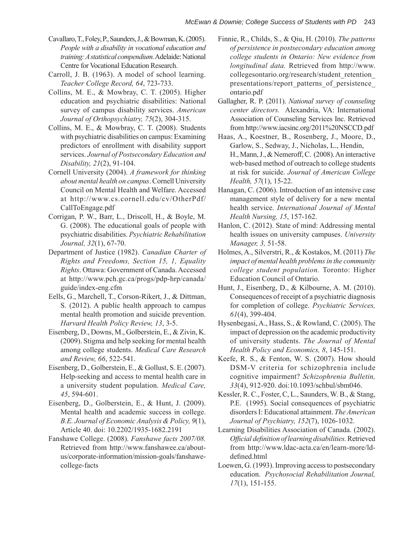- Cavallaro, T., Foley, P., Saunders, J., & Bowman, K. (2005). *People with a disability in vocational education and training: A statistical compendium.* Adelaide: National Centre for Vocational Education Research.
- Carroll, J. B. (1963). A model of school learning. *Teacher College Record, 64*, 723-733.
- Collins, M. E., & Mowbray, C. T. (2005). Higher education and psychiatric disabilities: National survey of campus disability services. *American Journal of Orthopsychiatry, 75*(2), 304-315.
- Collins, M. E., & Mowbray, C. T. (2008). Students with psychiatric disabilities on campus: Examining predictors of enrollment with disability support services. *Journal of Postsecondary Education and Disability, 21*(2), 91-104.
- Cornell University (2004). *A framework for thinking about mental health on campus*. Cornell University Council on Mental Health and Welfare. Accessed at http://www.cs.cornell.edu/cv/OtherPdf/ CallToEngage.pdf
- Corrigan, P. W., Barr, L., Driscoll, H., & Boyle, M. G. (2008). The educational goals of people with psychiatric disabilities. *Psychiatric Rehabilitation Journal, 32*(1), 67-70.
- Department of Justice (1982). *Canadian Charter of Rights and Freedoms, Section 15, 1, Equality Rights*. Ottawa: Government of Canada. Accessed at http://www.pch.gc.ca/progs/pdp-hrp/canada/ guide/index-eng.cfm
- Eells, G., Marchell, T., Corson-Rikert, J., & Dittman, S. (2012). A public health approach to campus mental health promotion and suicide prevention. *Harvard Health Policy Review, 13*, 3-5.
- Eisenberg, D., Downs, M., Golberstein, E., & Zivin, K. (2009). Stigma and help seeking for mental health among college students. *Medical Care Research and Review, 66*, 522-541.
- Eisenberg, D., Golberstein, E., & Gollust, S. E. (2007). Help-seeking and access to mental health care in a university student population. *Medical Care, 45*, 594-601.
- Eisenberg, D., Golberstein, E., & Hunt, J. (2009). Mental health and academic success in college. *B.E. Journal of Economic Analysis & Policy, 9*(1), Article 40. doi: 10.2202/1935-1682.2191
- Fanshawe College. (2008). *Fanshawe facts 2007/08.*  Retrieved from http://www.fanshawee.ca/aboutus/corporate-information/mission-goals/fanshawecollege-facts
- Finnie, R., Childs, S., & Qiu, H. (2010). *The patterns of persistence in postsecondary education among college students in Ontario: New evidence from longitudinal data.* Retrieved from http://www. collegesontario.org/research/student\_retention\_ presentations/report\_patterns\_of\_persistence\_ ontario.pdf
- Gallagher, R. P. (2011). *National survey of counseling center directors.* Alexandria, VA: International Association of Counseling Services Inc. Retrieved from http://www.iacsinc.org/2011%20NSCCD.pdf
- Haas, A., Koestner, B., Rosenberg, J., Moore, D., Garlow, S., Sedway, J., Nicholas, L., Hendin, H., Mann, J., & Nemeroff, C. (2008). An interactive web-based method of outreach to college students at risk for suicide. *Journal of American College Health, 57*(1), 15-22.
- Hanagan, C. (2006). Introduction of an intensive case management style of delivery for a new mental health service. *International Journal of Mental Health Nursing, 15*, 157-162.
- Hanlon, C. (2012). State of mind: Addressing mental health issues on university campuses. *University Manager, 3,* 51-58.
- Holmes, A., Silverstri, R., & Kostakos, M. (2011) *The impact of mental health problems in the community college student population.* Toronto: Higher Education Council of Ontario.
- Hunt, J., Eisenberg, D., & Kilbourne, A. M. (2010). Consequences of receipt of a psychiatric diagnosis for completion of college. *Psychiatric Services, 61*(4), 399-404.
- Hysenbegasi, A., Hass, S., & Rowland, C. (2005). The impact of depression on the academic productivity of university students. *The Journal of Mental Health Policy and Economics, 8*, 145-151.
- Keefe, R. S., & Fenton, W. S. (2007). How should DSM-V criteria for schizophrenia include cognitive impairment? *Schizophrenia Bulletin, 33*(4), 912-920. doi:10.1093/schbul/sbm046.
- Kessler, R. C., Foster, C, L., Saunders, W. B., & Stang, P.E. (1995). Social consequences of psychiatric disorders I: Educational attainment. *The American Journal of Psychiatry, 152*(7), 1026-1032.
- Learning Disabilities Association of Canada. (2002). *Offi cial defi nition of learning disabilities.* Retrieved from http://www.ldac-acta.ca/en/learn-more/lddefined.html
- Loewen, G. (1993). Improving access to postsecondary education. *Psychosocial Rehabilitation Journal, 17*(1), 151-155.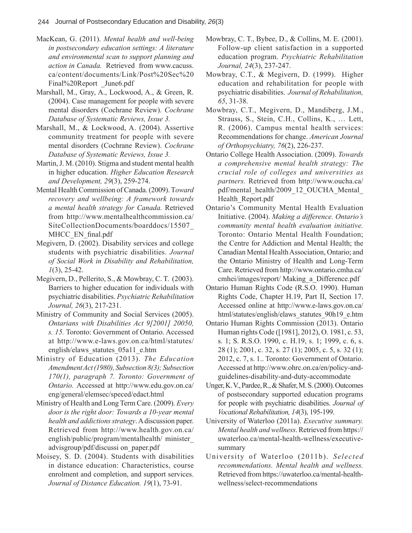- MacKean, G. (2011). *Mental health and well-being in postsecondary education settings: A literature and environmental scan to support planning and action in Canada.* Retrieved from www.cacuss. ca/content/documents/Link/Post%20Sec%20 Final%20Report June6.pdf
- Marshall, M., Gray, A., Lockwood, A., & Green, R. (2004). Case management for people with severe mental disorders (Cochrane Review). *Cochrane Database of Systematic Reviews, Issue 3.*
- Marshall, M., & Lockwood, A. (2004). Assertive community treatment for people with severe mental disorders (Cochrane Review). *Cochrane Database of Systematic Reviews, Issue 3.*
- Martin, J. M. (2010). Stigma and student mental health in higher education. *Higher Education Research and Development, 29*(3), 259-274.
- Mental Health Commission of Canada. (2009). T*oward recovery and wellbeing: A framework towards a mental health strategy for Canada.* Retrieved from http://www.mentalhealthcommission.ca/ SiteCollectionDocuments/boarddocs/15507\_ MHCC\_EN\_final.pdf
- Megivern, D. (2002). Disability services and college students with psychiatric disabilities. *Journal of Social Work in Disability and Rehabilitation, 1*(3), 25-42.
- Megivern, D., Pellerito, S., & Mowbray, C. T. (2003). Barriers to higher education for individuals with psychiatric disabilities. *Psychiatric Rehabilitation Journal, 26*(3), 217-231.
- Ministry of Community and Social Services (2005). *Ontarians with Disabilities Act 9[2001] 20050, s. 15.* Toronto: Government of Ontario. Accessed at http://www.e-laws.gov.on.ca/html/statutes/ english/elaws\_statutes\_05a11\_e.htm
- Ministry of Education (2013). *The Education Amendment Act (1980), Subsection 8(3); Subsection 170(1), paragraph 7. Toronto: Government of Ontario.* Accessed at http://www.edu.gov.on.ca/ eng/general/elemsec/speced/edact.html
- Ministry of Health and Long Term Care. (2009). *Every door is the right door: Towards a 10-year mental health and addictions strategy*. A discussion paper. Retrieved from http://www.health.gov.on.ca/ english/public/program/mentalhealth/ minister\_ advisgroup/pdf/discussi on\_paper.pdf
- Moisey, S. D. (2004). Students with disabilities in distance education: Characteristics, course enrolment and completion, and support services. *Journal of Distance Education. 19*(1), 73-91.
- Mowbray, C. T., Bybee, D., & Collins, M. E. (2001). Follow-up client satisfaction in a supported education program. *Psychiatric Rehabilitation Journal, 24*(3), 237-247.
- Mowbray, C.T., & Megivern, D. (1999). Higher education and rehabilitation for people with psychiatric disabilities. *Journal of Rehabilitation, 65*, 31-38.
- Mowbray, C.T., Megivern, D., Mandiberg, J.M., Strauss, S., Stein, C.H., Collins, K., … Lett, R. (2006). Campus mental health services: Recommendations for change. *American Journal of Orthopsychiatry, 76*(2), 226-237.
- Ontario College Health Association. (2009). *Towards a comprehensive mental health strategy: The crucial role of colleges and universities as partners.* Retrieved from http://www.oucha.ca/ pdf/mental\_health/2009\_12\_OUCHA\_Mental Health\_Report.pdf
- Ontario's Community Mental Health Evaluation Initiative. (2004). *Making a difference. Ontario's community mental health evaluation initiative.*  Toronto: Ontario Mental Health Foundation; the Centre for Addiction and Mental Health; the Canadian Mental Health Association, Ontario; and the Ontario Ministry of Health and Long-Term Care. Retrieved from http://www.ontario.cmha.ca/ cmhei/images/report/ Making\_a\_Difference.pdf
- Ontario Human Rights Code (R.S.O. 1990). Human Rights Code, Chapter H.19, Part II, Section 17. Accessed online at http://www.e-laws.gov.on.ca/ html/statutes/english/elaws\_statutes\_90h19\_e.htm
- Ontario Human Rights Commission (2013). Ontario Human rights Code ([1981], 2012), O. 1981, c. 53, s. 1; S. R.S.O. 1990, c. H.19, s. 1; 1999, c. 6, s. 28 (1); 2001, c. 32, s. 27 (1); 2005, c. 5, s. 32 (1); 2012, c. 7, s. 1.. Toronto: Government of Ontario. Accessed at http://www.ohrc.on.ca/en/policy-andguidelines-disability-and-duty-accommodate
- Unger, K. V., Pardee, R., & Shafer, M. S. (2000). Outcomes of postsecondary supported education programs for people with psychiatric disabilities. *Journal of Vocational Rehabilitation, 14*(3), 195-199.
- University of Waterloo (2011a). *Executive summary. Mental health and wellness*. Retrieved from https:// uwaterloo.ca/mental-health-wellness/executivesummary
- University of Waterloo (2011b). *Selected recommendations. Mental health and wellness.* Retrieved from https://uwaterloo.ca/mental-healthwellness/select-recommendations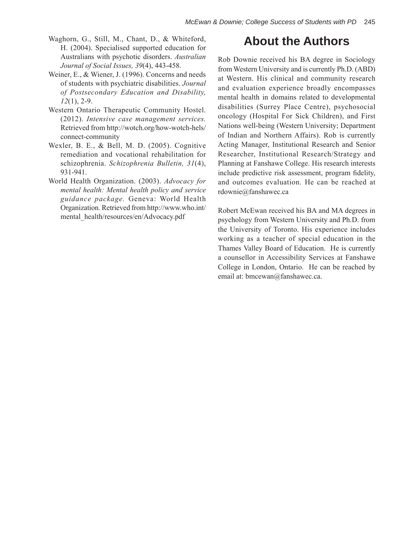- Waghorn, G., Still, M., Chant, D., & Whiteford, H. (2004). Specialised supported education for Australians with psychotic disorders. *Australian Journal of Social Issues, 39*(4), 443-458.
- Weiner, E., & Wiener, J. (1996). Concerns and needs of students with psychiatric disabilities. *Journal of Postsecondary Education and Disability, 12*(1), 2-9.
- Western Ontario Therapeutic Community Hostel. (2012). *Intensive case management services.*  Retrieved from http://wotch.org/how-wotch-hels/ connect-community
- Wexler, B. E., & Bell, M. D. (2005). Cognitive remediation and vocational rehabilitation for schizophrenia. *Schizophrenia Bulletin, 31*(4), 931-941.
- World Health Organization. (2003). *Advocacy for mental health: Mental health policy and service guidance package.* Geneva: World Health Organization. Retrieved from http://www.who.int/ mental\_health/resources/en/Advocacy.pdf

# **About the Authors**

Rob Downie received his BA degree in Sociology from Western University and is currently Ph.D. (ABD) at Western. His clinical and community research and evaluation experience broadly encompasses mental health in domains related to developmental disabilities (Surrey Place Centre), psychosocial oncology (Hospital For Sick Children), and First Nations well-being (Western University; Department of Indian and Northern Affairs). Rob is currently Acting Manager, Institutional Research and Senior Researcher, Institutional Research/Strategy and Planning at Fanshawe College. His research interests include predictive risk assessment, program fidelity, and outcomes evaluation. He can be reached at rdownie@fanshawec.ca

Robert McEwan received his BA and MA degrees in psychology from Western University and Ph.D. from the University of Toronto. His experience includes working as a teacher of special education in the Thames Valley Board of Education. He is currently a counsellor in Accessibility Services at Fanshawe College in London, Ontario. He can be reached by email at: bmcewan@fanshawec.ca.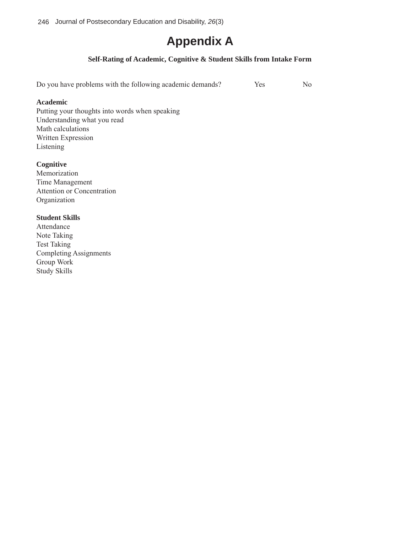246Journal of Postsecondary Education and Disability, *26*(3)

# **Appendix A**

## **Self-Rating of Academic, Cognitive & Student Skills from Intake Form**

Do you have problems with the following academic demands? Yes No

### **Academic**

Putting your thoughts into words when speaking Understanding what you read Math calculations Written Expression Listening

## **Cognitive**

Memorization Time Management Attention or Concentration Organization

### **Student Skills**

Attendance Note Taking Test Taking Completing Assignments Group Work Study Skills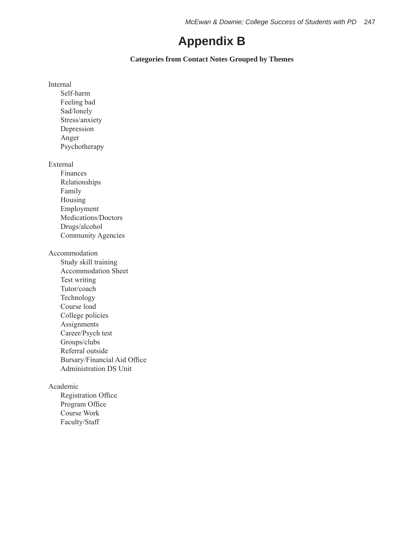# **Appendix B**

## **Categories from Contact Notes Grouped by Themes**

Internal

Self-harm Feeling bad Sad/lonely Stress/anxiety Depression Anger Psychotherapy

External

Finances Relationships Family Housing Employment Medications/Doctors Drugs/alcohol Community Agencies

Accommodation

Study skill training Accommodation Sheet Test writing Tutor/coach Technology Course load College policies **Assignments** Career/Psych test Groups/clubs Referral outside Bursary/Financial Aid Office Administration DS Unit

### Academic

Registration Office Program Office Course Work Faculty/Staff